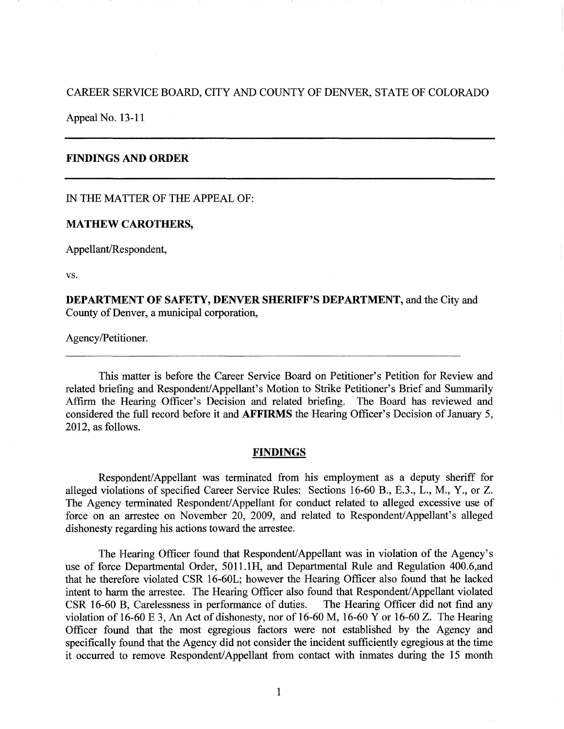## CAREER SERVICE BOARD, CITY AND COUNTY OF DENVER, STATE OF COLORADO

Appeal No. 13-11

# **FINDINGS AND ORDER**

IN THE MATTER OF THE APPEAL OF:

### **MATHEW CAROTHERS,**

Appellant/Respondent,

vs.

**DEPARTMENT OF SAFETY, DENVER SHERIFF'S DEPARTMENT,** and the City and County of Denver, a municipal corporation,

Agency/Petitioner.

This matter is before the Career Service Board on Petitioner's Petition for Review and related briefing and Respondent/Appellant's Motion to Strike Petitioner's Brief and Summarily Affirm the Hearing Officer's Decision and related briefing. The Board has reviewed and considered the full record before it and **AFFIRMS** the Hearing Officer's Decision of January 5, 2012, as follows.

#### **FINDINGS**

Respondent/ Appellant was terminated from his employment as a deputy sheriff for alleged violations of specified Career Service Rules: Sections 16-60 B., E.3., L., M., Y., or Z. The Agency terminated Respondent/ Appellant for conduct related to alleged excessive use of force on an arrestee on November 20, 2009, and related to Respondent/Appellant's alleged dishonesty regarding his actions toward the arrestee.

The Hearing Officer found that Respondent/Appellant was in violation of the Agency's use of force Departmental Order, 5011.lH, and Departmental Rule and Regulation 400.6,and that he therefore violated CSR 16-60L; however the Hearing Officer also found that he lacked intent to harm the arrestee. The Hearing Officer also found that Respondent/Appellant violated CSR 16-60 B, Carelessness in performance of duties. The Hearing Officer did not find any violation of 16-60 E 3, An Act of dishonesty, nor of 16-60 M, 16-60 Y or 16-60 Z. The Hearing Officer found that the most egregious factors were not established by the Agency and specifically found that the Agency did not consider the incident sufficiently egregious at the time it occurred to remove Respondent/ Appellant from contact with inmates during the 15 month